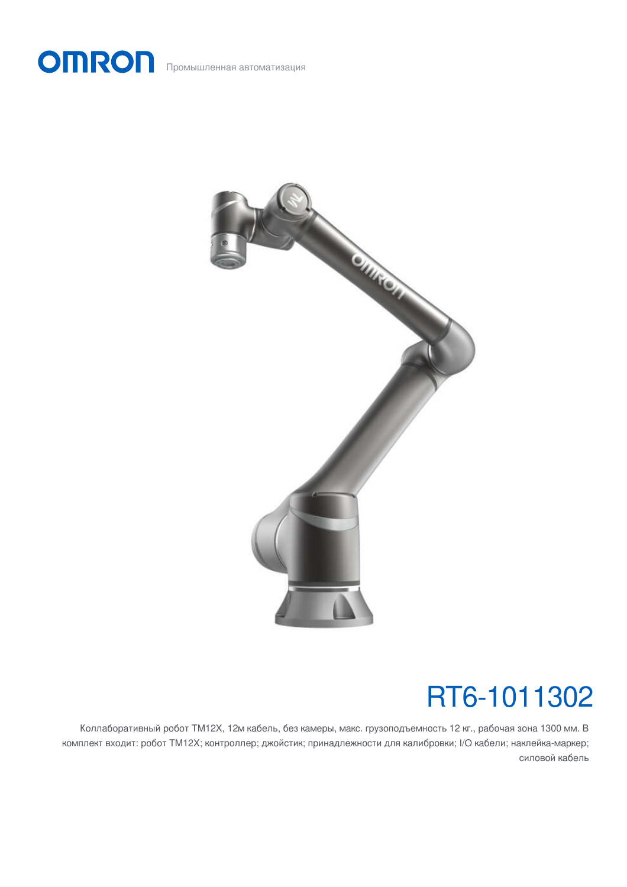



# RT6-1011302

Коллаборативный робот TM12X, 12м кабель, без камеры, макс. грузоподъемность 12 кг., рабочая зона 1300 мм. В комплект входит: робот TM12X; контроллер; джойстик; принадлежности для калибровки; I/O кабели; наклейка-маркер; силовой кабель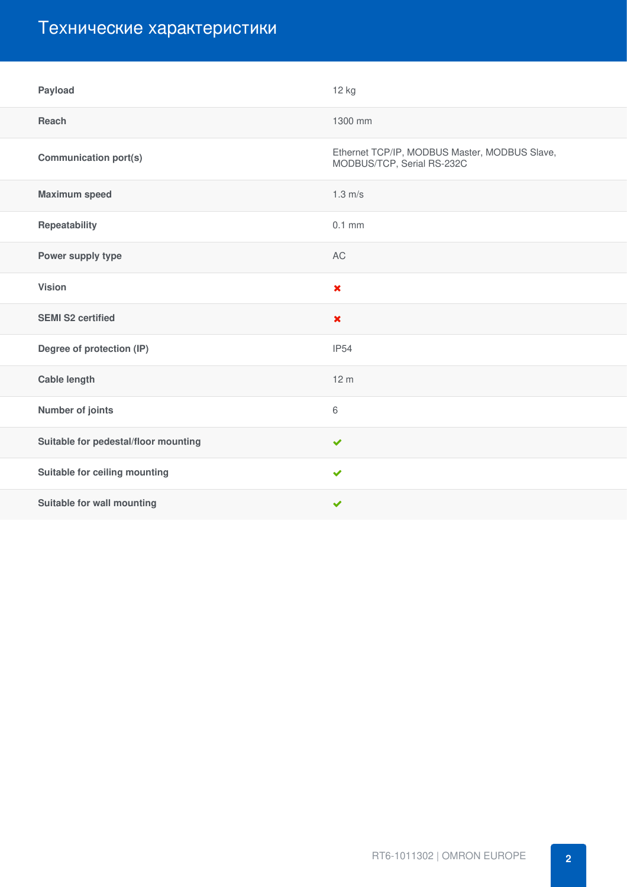## Технические характеристики

| Payload                              | 12 kg                                                                       |
|--------------------------------------|-----------------------------------------------------------------------------|
| Reach                                | 1300 mm                                                                     |
| <b>Communication port(s)</b>         | Ethernet TCP/IP, MODBUS Master, MODBUS Slave,<br>MODBUS/TCP, Serial RS-232C |
| <b>Maximum speed</b>                 | $1.3 \text{ m/s}$                                                           |
| Repeatability                        | $0.1$ mm                                                                    |
| Power supply type                    | AC                                                                          |
| <b>Vision</b>                        | $\boldsymbol{\mathsf{x}}$                                                   |
| <b>SEMI S2 certified</b>             | $\boldsymbol{\mathsf{x}}$                                                   |
| Degree of protection (IP)            | <b>IP54</b>                                                                 |
| <b>Cable length</b>                  | 12 <sub>m</sub>                                                             |
| Number of joints                     | 6                                                                           |
| Suitable for pedestal/floor mounting | $\blacktriangledown$                                                        |
| Suitable for ceiling mounting        | $\checkmark$                                                                |
| Suitable for wall mounting           | $\blacktriangledown$                                                        |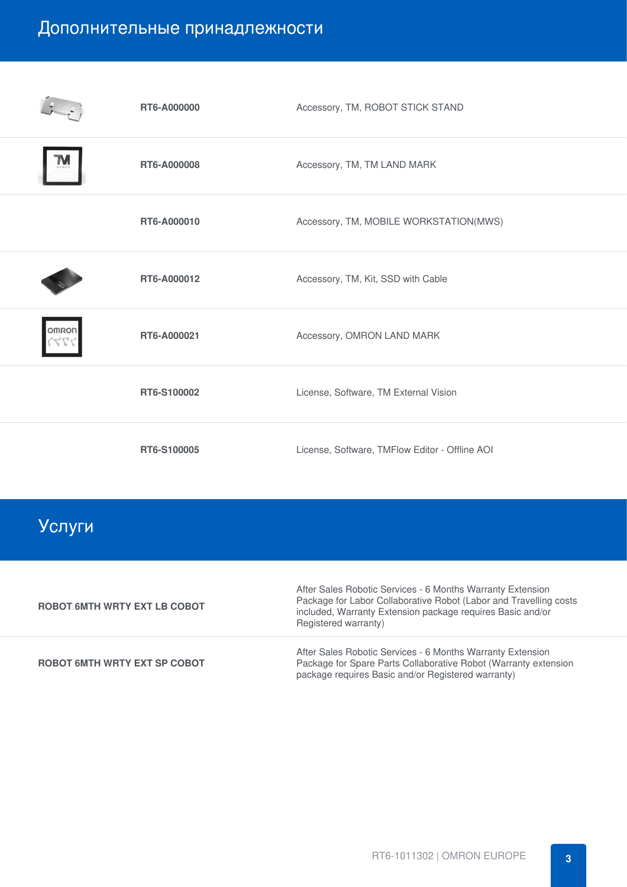## Дополнительные принадлежности

|              | RT6-A000000 | Accessory, TM, ROBOT STICK STAND               |
|--------------|-------------|------------------------------------------------|
|              | RT6-A000008 | Accessory, TM, TM LAND MARK                    |
|              | RT6-A000010 | Accessory, TM, MOBILE WORKSTATION(MWS)         |
|              | RT6-A000012 | Accessory, TM, Kit, SSD with Cable             |
| <b>OMRON</b> | RT6-A000021 | Accessory, OMRON LAND MARK                     |
|              | RT6-S100002 | License, Software, TM External Vision          |
|              | RT6-S100005 | License, Software, TMFlow Editor - Offline AOI |

## Услуги

| <b>ROBOT 6MTH WRTY EXT LB COBOT</b> | After Sales Robotic Services - 6 Months Warranty Extension<br>Package for Labor Collaborative Robot (Labor and Travelling costs<br>included, Warranty Extension package requires Basic and/or<br>Registered warranty) |
|-------------------------------------|-----------------------------------------------------------------------------------------------------------------------------------------------------------------------------------------------------------------------|
| <b>ROBOT 6MTH WRTY EXT SP COBOT</b> | After Sales Robotic Services - 6 Months Warranty Extension<br>Package for Spare Parts Collaborative Robot (Warranty extension<br>package requires Basic and/or Registered warranty)                                   |